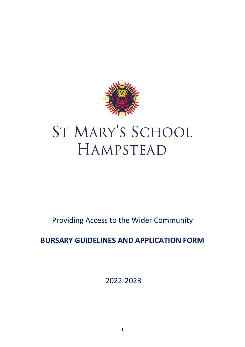

# ST MARY'S SCHOOL HAMPSTEAD

Providing Access to the Wider Community

## **BURSARY GUIDELINES AND APPLICATION FORM**

2022-2023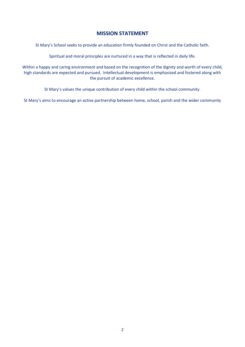## **MISSION STATEMENT**

St Mary's School seeks to provide an education firmly founded on Christ and the Catholic faith.

Spiritual and moral principles are nurtured in a way that is reflected in daily life.

Within a happy and caring environment and based on the recognition of the dignity and worth of every child, high standards are expected and pursued. Intellectual development is emphasised and fostered along with the pursuit of academic excellence.

St Mary's values the unique contribution of every child within the school community.

St Mary's aims to encourage an active partnership between home, school, parish and the wider community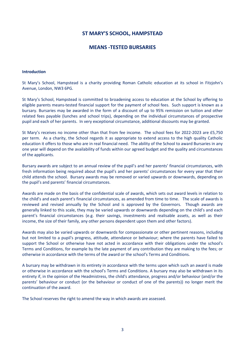## **ST MARY'S SCHOOL, HAMPSTEAD**

## **MEANS -TESTED BURSARIES**

#### **Introduction**

St Mary's School, Hampstead is a charity providing Roman Catholic education at its school in Fitzjohn's Avenue, London, NW3 6PG.

St Mary's School, Hampstead is committed to broadening access to education at the School by offering to eligible parents means-tested financial support for the payment of school fees. Such support is known as a bursary. Bursaries may be awarded in the form of a discount of up to 95% remission on tuition and other related fees payable (lunches and school trips), depending on the individual circumstances of prospective pupil and each of her parents. In very exceptional circumstance, additional discounts may be granted.

St Mary's receives no income other than that from fee income. The school fees for 2022-2023 are £5,750 per term. As a charity, the School regards it as appropriate to extend access to the high quality Catholic education it offers to those who are in real financial need. The ability of the School to award Bursaries in any one year will depend on the availability of funds within our agreed budget and the quality and circumstances of the applicants.

Bursary awards are subject to an annual review of the pupil's and her parents' financial circumstances, with fresh information being required about the pupil's and her parents' circumstances for every year that their child attends the school. Bursary awards may be removed or varied upwards or downwards, depending on the pupil's and parents' financial circumstances.

Awards are made on the basis of the confidential scale of awards, which sets out award levels in relation to the child's and each parent's financial circumstances, as amended from time to time. The scale of awards is reviewed and revised annually by the School and is approved by the Governors. Though awards are generally linked to this scale, they may be varied upwards or downwards depending on the child's and each parent's financial circumstances (e.g. their savings, investments and realisable assets, as well as their income, the size of their family, any other persons dependent upon them and other factors).

Awards may also be varied upwards or downwards for compassionate or other pertinent reasons, including but not limited to a pupil's progress, attitude, attendance or behaviour; where the parents have failed to support the School or otherwise have not acted in accordance with their obligations under the school's Terms and Conditions, for example by the late payment of any contribution they are making to the fees; or otherwise in accordance with the terms of the award or the school's Terms and Conditions.

A bursary may be withdrawn in its entirety in accordance with the terms upon which such an award is made or otherwise in accordance with the school's Terms and Conditions. A bursary may also be withdrawn in its entirety if, in the opinion of the Headmistress, the child's attendance, progress and/or behaviour (and/or the parents' behaviour or conduct (or the behaviour or conduct of one of the parents)) no longer merit the continuation of the award.

The School reserves the right to amend the way in which awards are assessed.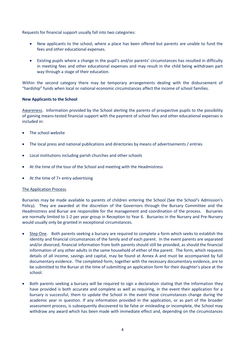Requests for financial support usually fall into two categories:

- New applicants to the school, where a place has been offered but parents are unable to fund the fees and other educational expenses.
- Existing pupils where a change in the pupil's and/or parents' circumstances has resulted in difficulty in meeting fees and other educational expenses and may result in the child being withdrawn part way through a stage of their education.

Within the second category there may be temporary arrangements dealing with the disbursement of "hardship" funds when local or national economic circumstances affect the income of school families.

## **New Applicants to the School**

Awareness. Information provided by the School alerting the parents of prospective pupils to the possibility of gaining means-tested financial support with the payment of school fees and other educational expenses is included in:

- The school website
- The local press and national publications and directories by means of advertisements / entries
- Local institutions including parish churches and other schools
- At the time of the tour of the School and meeting with the Headmistress
- At the time of 7+ entry advertising

## The Application Process.

Bursaries may be made available to parents of children entering the School (See the School's Admission's Policy). They are awarded at the discretion of the Governors through the Bursary Committee and the Headmistress and Bursar are responsible for the management and coordination of the process. Bursaries are normally limited to 1-2 per year group in Reception to Year 6. Bursaries in the Nursery and Pre-Nursery would usually only be granted in exceptional circumstances.

- Step One. Both parents seeking a bursary are required to complete a form which seeks to establish the identity and financial circumstances of the family and of each parent. In the event parents are separated and/or divorced, financial information from both parents should still be provided, as should the financial information of any other adults in the same household of either of the parent. The form, which requests details of all income, savings and capital, may be found at Annex A and must be accompanied by full documentary evidence. The completed form, together with the necessary documentary evidence, are to be submitted to the Bursar at the time of submitting an application form for their daughter's place at the school.
- Both parents seeking a bursary will be required to sign a declaration stating that the information they have provided is both accurate and complete as well as requiring, in the event their application for a bursary is successful, them to update the School in the event those circumstances change during the academic year in question. If any information provided in the application, or as part of the broader assessment process, is subsequently discovered to be false or misleading or incomplete, the School may withdraw any award which has been made with immediate effect and, depending on the circumstances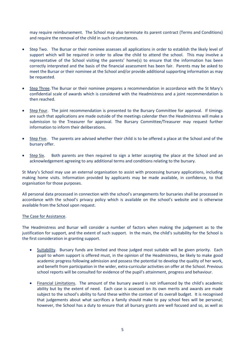may require reimbursement. The School may also terminate its parent contract (Terms and Conditions) and require the removal of the child in such circumstances.

- Step Two. The Bursar or their nominee assesses all applications in order to establish the likely level of support which will be required in order to allow the child to attend the school. This may involve a representative of the School visiting the parents' home(s) to ensure that the information has been correctly interpreted and the basis of the financial assessment has been fair. Parents may be asked to meet the Bursar or their nominee at the School and/or provide additional supporting information as may be requested.
- Step Three. The Bursar or their nominee prepares a recommendation in accordance with the St Mary's confidential scale of awards which is considered with the Headmistress and a joint recommendation is then reached.
- Step Four. The joint recommendation is presented to the Bursary Committee for approval. If timings are such that applications are made outside of the meetings calendar then the Headmistress will make a submission to the Treasurer for approval. The Bursary Committee/Treasurer may request further information to inform their deliberations.
- Step Five. The parents are advised whether their child is to be offered a place at the School and of the bursary offer.
- Step Six. Both parents are then required to sign a letter accepting the place at the School and an acknowledgement agreeing to any additional terms and conditions relating to the bursary.

St Mary's School may use an external organisation to assist with processing bursary applications, including making home visits. Information provided by applicants may be made available, in confidence, to that organisation for those purposes.

All personal data processed in connection with the school's arrangements for bursaries shall be processed in accordance with the school's privacy policy which is available on the school's website and is otherwise available from the School upon request.

## The Case for Assistance.

The Headmistress and Bursar will consider a number of factors when making the judgement as to the justification for support, and the extent of such support. In the main, the child's suitability for the School is the first consideration in granting support.

- Suitability. Bursary funds are limited and those judged most suitable will be given priority. Each pupil to whom support is offered must, in the opinion of the Headmistress, be likely to make good academic progress following admission and possess the potential to develop the quality of her work, and benefit from participation in the wider, extra-curricular activities on offer at the School. Previous school reports will be consulted for evidence of the pupil's attainment, progress and behaviour.
- Financial Limitations. The amount of the bursary award is not influenced by the child's academic ability but by the extent of need. Each case is assessed on its own merits and awards are made subject to the school's ability to fund these within the context of its overall budget. It is recognised that judgements about what sacrifices a family should make to pay school fees will be personal; however, the School has a duty to ensure that all bursary grants are well focused and so, as well as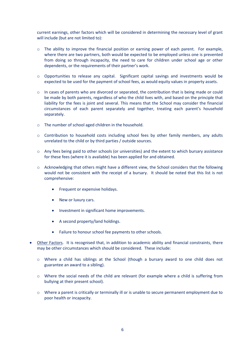current earnings, other factors which will be considered in determining the necessary level of grant will include (but are not limited to):

- o The ability to improve the financial position or earning power of each parent. For example, where there are two partners, both would be expected to be employed unless one is prevented from doing so through incapacity, the need to care for children under school age or other dependents, or the requirements of their partner's work.
- $\circ$  Opportunities to release any capital. Significant capital savings and investments would be expected to be used for the payment of school fees, as would equity values in property assets.
- o In cases of parents who are divorced or separated, the contribution that is being made or could be made by both parents, regardless of who the child lives with, and based on the principle that liability for the fees is joint and several. This means that the School may consider the financial circumstances of each parent separately and together, treating each parent's household separately.
- o The number of school aged children in the household.
- o Contribution to household costs including school fees by other family members, any adults unrelated to the child or by third parties / outside sources.
- $\circ$  Any fees being paid to other schools (or universities) and the extent to which bursary assistance for these fees (where it is available) has been applied for and obtained.
- $\circ$  Acknowledging that others might have a different view, the School considers that the following would not be consistent with the receipt of a bursary. It should be noted that this list is not comprehensive:
	- Frequent or expensive holidays.
	- New or luxury cars.
	- Investment in significant home improvements.
	- A second property/land holdings.
	- Failure to honour school fee payments to other schools.
- Other Factors. It is recognised that, in addition to academic ability and financial constraints, there may be other circumstances which should be considered. These include:
	- o Where a child has siblings at the School (though a bursary award to one child does not guarantee an award to a sibling).
	- o Where the social needs of the child are relevant (for example where a child is suffering from bullying at their present school).
	- o Where a parent is critically or terminally ill or is unable to secure permanent employment due to poor health or incapacity.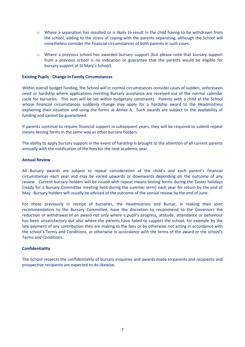- o Where a separation has resulted or is likely to result in the child having to be withdrawn from the school, adding to the stress of coping with the parents separating, although the School will nonetheless consider the financial circumstances of both parents in such cases.
- o Where a previous school has awarded bursary support (but please note that bursary support from a previous school is no indication or guarantee that the parents would be eligible for bursary support at St Mary's School).

### **Existing Pupils - Change in Family Circumstances**

Within overall budget funding, the School will in normal circumstances consider cases of sudden, unforeseen need or hardship where applications meriting Bursary assistance are received out of the normal calendar cycle for bursaries. This sum will be set within budgetary constraints. Parents with a child at the School whose financial circumstances suddenly change may apply for a hardship award to the Headmistress explaining their situation and using the forms at Annex A. Such awards are subject to the availability of funding and cannot be guaranteed.

If parents continue to require financial support in subsequent years, they will be required to submit repeat means-testing forms in the same way as other bursary holders.

The ability to apply bursary support in the event of hardship is brought to the attention of all current parents annually with the notification of the fees for the next academic year.

### **Annual Review**

All Bursary awards are subject to repeat consideration of the child's and each parent's financial circumstances each year and may be varied upwards or downwards depending on the outcome of any review. Current bursary holders will be issued with repeat means-testing forms during the Easter holidays (ready for a Bursary Committee meeting held during the summer term) each year for return by the end of May. Bursary holders will usually be advised of the outcome of the annual review by the end of June.

For those previously in receipt of bursaries, the Headmistress and Bursar, in making their joint recommendation to the Bursary Committee, have the discretion to recommend to the Governors the reduction or withdrawal of an award not only where a pupil's progress, attitude, attendance or behaviour has been unsatisfactory but also where the parents have failed to support the school, for example by the late payment of any contribution they are making to the fees or by otherwise not acting in accordance with the school's Terms and Conditions, or otherwise in accordance with the terms of the award or the school's Terms and Conditions.

## **Confidentiality**

The School respects the confidentiality of bursary enquiries and awards made to parents and recipients and prospective recipients are expected to do likewise.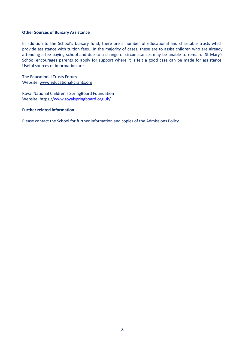#### **Other Sources of Bursary Assistance**

In addition to the School's bursary fund, there are a number of educational and charitable trusts which provide assistance with tuition fees. In the majority of cases, these are to assist children who are already attending a fee-paying school and due to a change of circumstances may be unable to remain. St Mary's School encourages parents to apply for support where it is felt a good case can be made for assistance. Useful sources of information are

The Educational Trusts Forum Website[: www.educational-grants.org](http://www.educational-grants.org/)

Royal National Children's SpringBoard Foundation Website: https:/[/www.royalspringboard.org.uk/](http://www.royalspringboard.org.uk/)

## **Further related information**

Please contact the School for further information and copies of the Admissions Policy.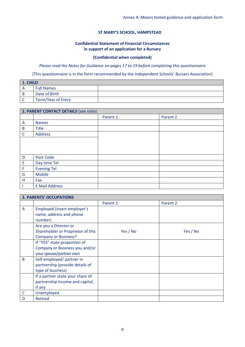## **ST MARY'S SCHOOL, HAMPSTEAD**

## **Confidential Statement of Financial Circumstances in support of an application for a Bursary**

## **(Confidential when completed)**

## *Please read the Notes for Guidance on pages 17 to 19 before completing this questionnaire*

[This questionnaire is in the form recommended by the Independent Schools' Bursars Association]

| <b>1. CHILD</b> |                    |  |
|-----------------|--------------------|--|
|                 | <b>Full Names</b>  |  |
|                 | Date of Birth      |  |
|                 | Term/Year of Entry |  |

|              | 2. PARENT CONTACT DETAILS (see note) |          |          |  |
|--------------|--------------------------------------|----------|----------|--|
|              |                                      | Parent 1 | Parent 2 |  |
| A            | <b>Names</b>                         |          |          |  |
| $\sf B$      | <b>Title</b>                         |          |          |  |
| $\mathsf{C}$ | <b>Address</b>                       |          |          |  |
|              |                                      |          |          |  |
|              |                                      |          |          |  |
|              |                                      |          |          |  |
| D            | Post Code                            |          |          |  |
| E            | Day time Tel                         |          |          |  |
| F            | <b>Evening Tel</b>                   |          |          |  |
| G            | Mobile                               |          |          |  |
| Н            | Fax                                  |          |          |  |
|              | <b>E Mail Address</b>                |          |          |  |

|              | <b>3. PARENTS' OCCUPATIONS</b>    |          |          |  |  |
|--------------|-----------------------------------|----------|----------|--|--|
|              |                                   | Parent 1 | Parent 2 |  |  |
| A            | Employed (insert employer's       |          |          |  |  |
|              | name, address and phone           |          |          |  |  |
|              | number)                           |          |          |  |  |
|              | Are you a Director or             |          |          |  |  |
|              | Shareholder or Proprietor of this | Yes / No | Yes / No |  |  |
|              | <b>Company or Business?</b>       |          |          |  |  |
|              | If "YES" state proportion of      |          |          |  |  |
|              | Company or Business you and/or    |          |          |  |  |
|              | your spouse/partner own           |          |          |  |  |
| B            | Self-employed/ partner in         |          |          |  |  |
|              | partnership (provide details of   |          |          |  |  |
|              | type of business)                 |          |          |  |  |
|              | If a partner state your share of  |          |          |  |  |
|              | partnership income and capital,   |          |          |  |  |
|              | if any                            |          |          |  |  |
| $\mathsf{C}$ | Unemployed                        |          |          |  |  |
| D            | <b>Retired</b>                    |          |          |  |  |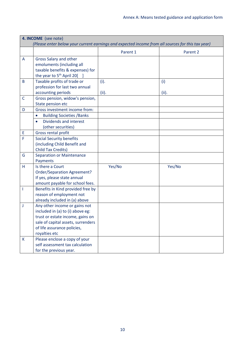| 4. INCOME (see note)                                                                              |                                                                                                                                                                                             |               |              |  |
|---------------------------------------------------------------------------------------------------|---------------------------------------------------------------------------------------------------------------------------------------------------------------------------------------------|---------------|--------------|--|
| (Please enter below your current earnings and expected income from all sources for this tax year) |                                                                                                                                                                                             |               |              |  |
|                                                                                                   |                                                                                                                                                                                             | Parent 1      | Parent 2     |  |
| A                                                                                                 | Gross Salary and other<br>emoluments (including all<br>taxable benefits & expenses) for<br>the year to 5 <sup>th</sup> April 20[                                                            |               |              |  |
| B                                                                                                 | Taxable profits of trade or<br>profession for last two annual<br>accounting periods                                                                                                         | (i).<br>(ii). | (i)<br>(ii). |  |
| C                                                                                                 | Gross pension, widow's pension,<br>State pension etc                                                                                                                                        |               |              |  |
| D                                                                                                 | Gross investment income from:                                                                                                                                                               |               |              |  |
|                                                                                                   | <b>Building Societies / Banks</b><br>$\bullet$                                                                                                                                              |               |              |  |
|                                                                                                   | Dividends and interest<br>(other securities)                                                                                                                                                |               |              |  |
| E                                                                                                 | Gross rental profit                                                                                                                                                                         |               |              |  |
| F                                                                                                 | <b>Social Security benefits</b><br>(including Child Benefit and<br><b>Child Tax Credits)</b>                                                                                                |               |              |  |
| G                                                                                                 | <b>Separation or Maintenance</b><br>Payments                                                                                                                                                |               |              |  |
| H                                                                                                 | Is there a Court<br><b>Order/Separation Agreement?</b><br>If yes, please state annual<br>amount payable for school fees.                                                                    | Yes/No        | Yes/No       |  |
| I.                                                                                                | Benefits in Kind provided free by<br>reason of employment not<br>already included in (a) above                                                                                              |               |              |  |
| J                                                                                                 | Any other income or gains not<br>included in (a) to (i) above eg:<br>trust or estate income, gains on<br>sale of capital assets, surrenders<br>of life assurance policies,<br>royalties etc |               |              |  |
| K                                                                                                 | Please enclose a copy of your<br>self assessment tax calculation<br>for the previous year.                                                                                                  |               |              |  |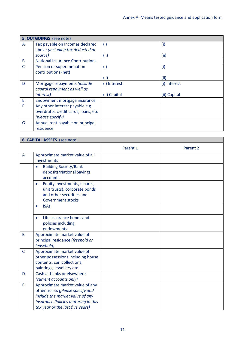|              | 5. OUTGOINGS (see note)                 |              |              |  |
|--------------|-----------------------------------------|--------------|--------------|--|
| A            | Tax payable on Incomes declared         | (i)          | (i)          |  |
|              | above (including tax deducted at        |              |              |  |
|              | source)                                 | (ii)         | (iii)        |  |
| B            | <b>National Insurance Contributions</b> |              |              |  |
| $\mathsf{C}$ | Pension or superannuation               | (i)          | (i)          |  |
|              | contributions (net)                     |              |              |  |
|              |                                         | (ii)         | (iii)        |  |
| D            | Mortgage repayments (include            | (i) Interest | (i) Interest |  |
|              | capital repayment as well as            |              |              |  |
|              | <i>interest</i> )                       | (ii) Capital | (ii) Capital |  |
| Ε            | Endowment mortgage insurance            |              |              |  |
| F            | Any other interest payable e.g.         |              |              |  |
|              | overdrafts, credit cards, loans, etc    |              |              |  |
|              | (please specify)                        |              |              |  |
| G            | Annual rent payable on principal        |              |              |  |
|              | residence                               |              |              |  |

|              | <b>6. CAPITAL ASSETS</b> (see note)                                                                                                                                               |          |          |  |  |
|--------------|-----------------------------------------------------------------------------------------------------------------------------------------------------------------------------------|----------|----------|--|--|
|              |                                                                                                                                                                                   | Parent 1 | Parent 2 |  |  |
| A            | Approximate market value of all<br>investments                                                                                                                                    |          |          |  |  |
|              | <b>Building Society/Bank</b><br>$\bullet$<br>deposits/National Savings<br>accounts                                                                                                |          |          |  |  |
|              | Equity investments, (shares,<br>$\bullet$<br>unit trusts), corporate bonds<br>and other securities and<br><b>Government stocks</b>                                                |          |          |  |  |
|              | <b>ISAs</b><br>$\bullet$                                                                                                                                                          |          |          |  |  |
|              | Life assurance bonds and<br>$\bullet$<br>policies including<br>endowments                                                                                                         |          |          |  |  |
| B            | Approximate market value of<br>principal residence (freehold or<br>leasehold)                                                                                                     |          |          |  |  |
| $\mathsf{C}$ | Approximate market value of<br>other possessions including house<br>contents, car, collections,<br>paintings, jewellery etc                                                       |          |          |  |  |
| D            | Cash at banks or elsewhere<br>(current accounts only)                                                                                                                             |          |          |  |  |
| E            | Approximate market value of any<br>other assets (please specify and<br>include the market value of any<br>Insurance Policies maturing in this<br>tax year or the last five years) |          |          |  |  |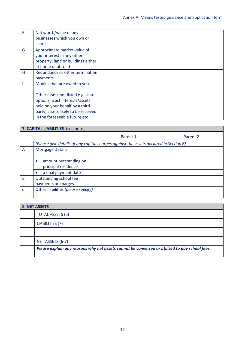| F | Net worth/value of any<br>businesses which you own or<br>share                                                                                                                  |  |
|---|---------------------------------------------------------------------------------------------------------------------------------------------------------------------------------|--|
| G | Approximate market value of<br>your interest in any other<br>property, land or buildings either<br>at home or abroad                                                            |  |
| Н | Redundancy or other termination<br>payments.                                                                                                                                    |  |
|   | Monies that are owed to you.                                                                                                                                                    |  |
|   | Other assets not listed e.g. share<br>options, trust interests/assets<br>held on your behalf by a third<br>party, assets likely to be received<br>in the foreseeable future etc |  |

| 7. CAPITAL LIABILITIES (see note) |                                                                                       |          |          |  |
|-----------------------------------|---------------------------------------------------------------------------------------|----------|----------|--|
|                                   |                                                                                       | Parent 1 | Parent 2 |  |
|                                   | (Please give details of any capital charges against the assets declared in Section 6) |          |          |  |
| A                                 | <b>Mortgage Details</b>                                                               |          |          |  |
|                                   | amount outstanding on<br>principal residence                                          |          |          |  |
|                                   | a final payment date                                                                  |          |          |  |
| B                                 | Outstanding school fee<br>payments or charges                                         |          |          |  |
| c                                 | Other liabilities (please specify)                                                    |          |          |  |

| 8. NET ASSETS |                                                                                               |  |  |  |
|---------------|-----------------------------------------------------------------------------------------------|--|--|--|
|               | <b>TOTAL ASSETS (6)</b>                                                                       |  |  |  |
|               | LIABILITIES (7)                                                                               |  |  |  |
|               |                                                                                               |  |  |  |
|               | NET ASSETS (6-7)                                                                              |  |  |  |
|               | Please explain any reasons why net assets cannot be converted or utilised to pay school fees. |  |  |  |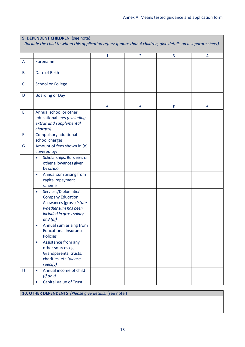|              | 9. DEPENDENT CHILDREN (see note)<br>(Include the child to whom this application refers: if more than 4 children, give details on a separate sheet)           |              |                |   |   |
|--------------|--------------------------------------------------------------------------------------------------------------------------------------------------------------|--------------|----------------|---|---|
|              |                                                                                                                                                              | $\mathbf{1}$ | $\overline{2}$ | 3 | 4 |
| A            | Forename                                                                                                                                                     |              |                |   |   |
| B            | Date of Birth                                                                                                                                                |              |                |   |   |
| $\mathsf{C}$ | <b>School or College</b>                                                                                                                                     |              |                |   |   |
| D            | <b>Boarding or Day</b>                                                                                                                                       |              |                |   |   |
|              |                                                                                                                                                              | £            | £              | £ | £ |
| E            | Annual school or other<br>educational fees (excluding<br>extras and supplemental<br>charges)                                                                 |              |                |   |   |
| F            | Compulsory additional<br>school charges                                                                                                                      |              |                |   |   |
| G            | Amount of fees shown in (e)<br>covered by:<br>Scholarships, Bursaries or<br>$\bullet$<br>other allowances given<br>by school                                 |              |                |   |   |
|              | Annual sum arising from<br>$\bullet$<br>capital repayment<br>scheme                                                                                          |              |                |   |   |
|              | Services/Diplomatic/<br>$\bullet$<br><b>Company Education</b><br>Allowances (gross) (state<br>whether sum has been<br>included in gross salary<br>at 3 $(a)$ |              |                |   |   |
|              | Annual sum arising from<br>$\bullet$<br><b>Educational Insurance</b><br><b>Policies</b>                                                                      |              |                |   |   |
|              | Assistance from any<br>$\bullet$<br>other sources eg<br>Grandparents, trusts,<br>charities, etc (please<br>specify)                                          |              |                |   |   |
| H            | Annual income of child<br>$\bullet$<br>(if any)                                                                                                              |              |                |   |   |
|              | <b>Capital Value of Trust</b><br>$\bullet$                                                                                                                   |              |                |   |   |

## **10. OTHER DEPENDENTS** *(Please give details)* (see note )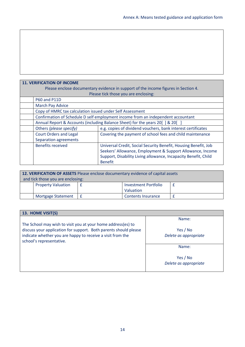## **11. VERIFICATION OF INCOME**  Please enclose documentary evidence in support of the income figures in Section 4. Please tick those you are enclosing: P60 and P11D March Pay Advice Copy of HMRC tax calculation issued under Self Assessment Confirmation of Schedule D self employment income from an independent accountant Annual Report & Accounts (including Balance Sheet) for the years 20[ ] & 20[ ] Others *(please specify)* e.g. copies of dividend vouchers, bank interest certificates Court Orders and Legal Separation agreements Covering the payment of school fees and child maintenance Benefits received Universal Credit, Social Security Benefit, Housing Benefit, Job Seekers' Allowance, Employment & Support Allowance, Income Support, Disability Living allowance, Incapacity Benefit, Child Benefit

| 12. VERIFICATION OF ASSETS Please enclose documentary evidence of capital assets |                           |   |                             |  |
|----------------------------------------------------------------------------------|---------------------------|---|-----------------------------|--|
| and tick those you are enclosing:                                                |                           |   |                             |  |
|                                                                                  | <b>Property Valuation</b> |   | <b>Investment Portfolio</b> |  |
|                                                                                  |                           |   | Valuation                   |  |
|                                                                                  | <b>Mortgage Statement</b> | £ | <b>Contents Insurance</b>   |  |

| 13. HOME VISIT(S)                                                |                       |  |  |  |
|------------------------------------------------------------------|-----------------------|--|--|--|
|                                                                  | Name:                 |  |  |  |
| The School may wish to visit you at your home address(es) to     |                       |  |  |  |
| discuss your application for support. Both parents should please | Yes / No              |  |  |  |
| indicate whether you are happy to receive a visit from the       | Delete as appropriate |  |  |  |
| school's representative.                                         |                       |  |  |  |
|                                                                  | Name:                 |  |  |  |
|                                                                  |                       |  |  |  |
|                                                                  | Yes / No              |  |  |  |
|                                                                  | Delete as appropriate |  |  |  |
|                                                                  |                       |  |  |  |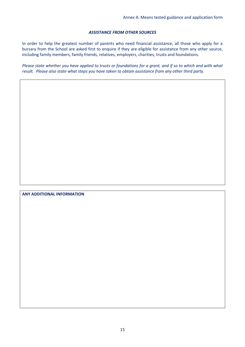## *ASSISTANCE FROM OTHER SOURCES*

In order to help the greatest number of parents who need financial assistance, all those who apply for a bursary from the School are asked first to enquire if they are eligible for assistance from any other source, including family members, family friends, relatives, employers, charities, trusts and foundations.

*Please state whether you have applied to trusts or foundations for a grant, and if so to which and with what result. Please also state what steps you have taken to obtain assistance from any other third party.*

## **ANY ADDITIONAL INFORMATION**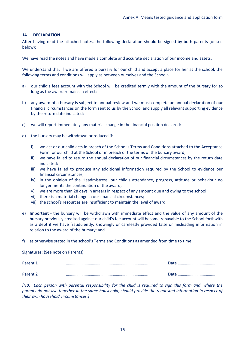## **14. DECLARATION**

After having read the attached notes, the following declaration should be signed by both parents (or see below):

We have read the notes and have made a complete and accurate declaration of our income and assets.

We understand that if we are offered a bursary for our child and accept a place for her at the school, the following terms and conditions will apply as between ourselves and the School:-

- a) our child's fees account with the School will be credited termly with the amount of the bursary for so long as the award remains in effect;
- b) any award of a bursary is subject to annual review and we must complete an annual declaration of our financial circumstances on the form sent to us by the School and supply all relevant supporting evidence by the return date indicated;
- c) we will report immediately any material change in the financial position declared;
- d) the bursary may be withdrawn or reduced if:
	- i) we act or our child acts in breach of the School's Terms and Conditions attached to the Acceptance Form for our child at the School or in breach of the terms of the bursary award;
	- ii) we have failed to return the annual declaration of our financial circumstances by the return date indicated;
	- iii) we have failed to produce any additional information required by the School to evidence our financial circumstances;
	- iv) in the opinion of the Headmistress, our child's attendance, progress, attitude or behaviour no longer merits the continuation of the award;
	- v) we are more than 28 days in arrears in respect of any amount due and owing to the school;
	- vi) there is a material change in our financial circumstances;
	- vii) the school's resources are insufficient to maintain the level of award.
- e) **Important** the bursary will be withdrawn with immediate effect and the value of any amount of the bursary previously credited against our child's fee account will become repayable to the School forthwith as a debt if we have fraudulently, knowingly or carelessly provided false or misleading information in relation to the award of the bursary; and
- f) as otherwise stated in the school's Terms and Conditions as amended from time to time.

Signatures: (See note on Parents)

| Parent 1 | Ateה<br>   |
|----------|------------|
| Parent 2 | Aate ת<br> |

*[NB. Each person with parental responsibility for the child is required to sign this form and, where the parents do not live together in the same household, should provide the requested information in respect of their own household circumstances.]*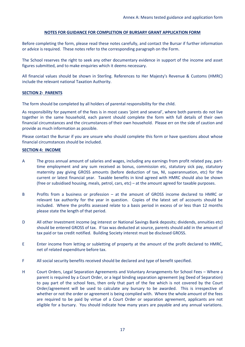### **NOTES FOR GUIDANCE FOR COMPLETION OF BURSARY GRANT APPLICATION FORM**

Before completing the form, please read these notes carefully, and contact the Bursar if further information or advice is required. These notes refer to the corresponding paragraph on the Form.

The School reserves the right to seek any other documentary evidence in support of the income and asset figures submitted, and to make enquiries which it deems necessary.

All financial values should be shown in Sterling. References to Her Majesty's Revenue & Customs (HMRC) include the relevant national Taxation Authority.

## **SECTION 2: PARENTS**

The form should be completed by all holders of parental responsibility for the child.

As responsibility for payment of the fees is in most cases 'joint and several', where both parents do not live together in the same household, each parent should complete the form with full details of their own financial circumstances and the circumstances of their own household. Please err on the side of caution and provide as much information as possible.

Please contact the Bursar if you are unsure who should complete this form or have questions about whose financial circumstances should be included.

### **SECTION 4: INCOME**

- A The gross annual amount of salaries and wages, including any earnings from profit related pay, parttime employment and any sum received as bonus, commission etc, statutory sick pay, statutory maternity pay giving GROSS amounts (before deduction of tax, NI, superannuation, etc) for the current or latest financial year. Taxable benefits in kind agreed with HMRC should also be shown (free or subsidised housing, meals, petrol, cars, etc) – at the amount agreed for taxable purposes.
- B Profits from a business or profession at the amount of GROSS income declared to HMRC or relevant tax authority for the year in question. Copies of the latest set of accounts should be included. Where the profits assessed relate to a basis period in excess of or less than 12 months please state the length of that period.
- D All other Investment income (eg interest or National Savings Bank deposits; dividends, annuities etc) should be entered GROSS of tax. If tax was deducted at source, parents should add in the amount of tax paid or tax credit notified. Building Society interest must be disclosed GROSS.
- E Enter income from letting or subletting of property at the amount of the profit declared to HMRC, net of related expenditure before tax.
- F All social security benefits received should be declared and type of benefit specified.
- H Court Orders, Legal Separation Agreements and Voluntary Arrangements for School Fees Where a parent is required by a Court Order, or a legal binding separation agreement (eg Deed of Separation) to pay part of the school fees, then only that part of the fee which is not covered by the Court Order/agreement will be used to calculate any bursary to be awarded. This is irrespective of whether or not the order or agreement is being complied with. Where the whole amount of the fees are required to be paid by virtue of a Court Order or separation agreement, applicants are not eligible for a bursary. You should indicate how many years are payable and any annual variations.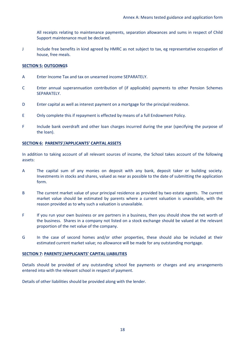All receipts relating to maintenance payments, separation allowances and sums in respect of Child Support maintenance must be declared.

J Include free benefits in kind agreed by HMRC as not subject to tax, eg representative occupation of house, free meals.

## **SECTION 5: OUTGOINGS**

- A Enter Income Tax and tax on unearned income SEPARATELY.
- C Enter annual superannuation contribution of (if applicable) payments to other Pension Schemes SEPARATELY.
- D Enter capital as well as interest payment on a mortgage for the principal residence.
- E Only complete this if repayment is effected by means of a full Endowment Policy.
- F Include bank overdraft and other loan charges incurred during the year (specifying the purpose of the loan).

## **SECTION 6: PARENTS'/APPLICANTS' CAPITAL ASSETS**

In addition to taking account of all relevant sources of income, the School takes account of the following assets:

- A The capital sum of any monies on deposit with any bank, deposit taker or building society. Investments in stocks and shares, valued as near as possible to the date of submitting the application form.
- B The current market value of your principal residence as provided by two estate agents. The current market value should be estimated by parents where a current valuation is unavailable, with the reason provided as to why such a valuation is unavailable.
- F If you run your own business or are partners in a business, then you should show the net worth of the business. Shares in a company not listed on a stock exchange should be valued at the relevant proportion of the net value of the company.
- G In the case of second homes and/or other properties, these should also be included at their estimated current market value; no allowance will be made for any outstanding mortgage.

## **SECTION 7: PARENTS'/APPLICANTS' CAPITAL LIABILITIES**

Details should be provided of any outstanding school fee payments or charges and any arrangements entered into with the relevant school in respect of payment.

Details of other liabilities should be provided along with the lender.